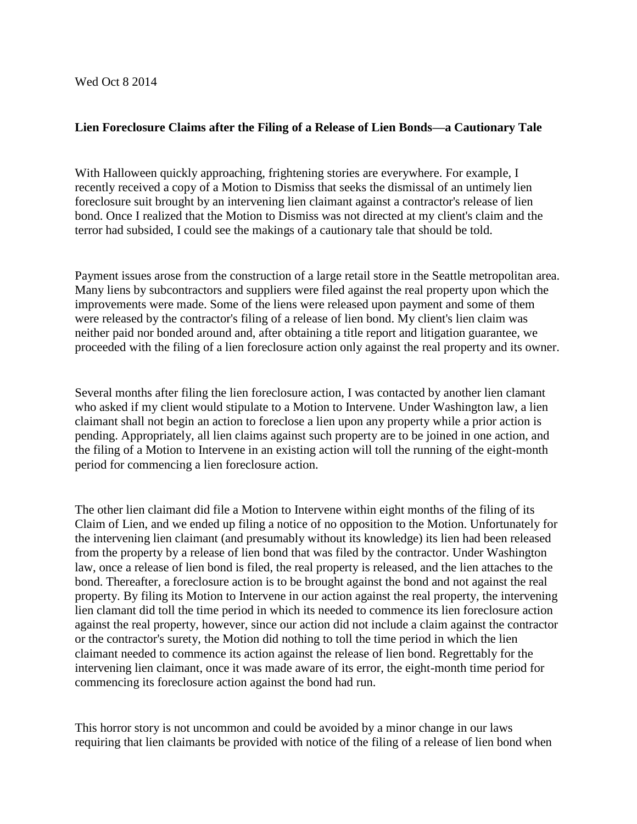## **Lien Foreclosure Claims after the Filing of a Release of Lien Bonds—a Cautionary Tale**

With Halloween quickly approaching, frightening stories are everywhere. For example, I recently received a copy of a Motion to Dismiss that seeks the dismissal of an untimely lien foreclosure suit brought by an intervening lien claimant against a contractor's release of lien bond. Once I realized that the Motion to Dismiss was not directed at my client's claim and the terror had subsided, I could see the makings of a cautionary tale that should be told.

Payment issues arose from the construction of a large retail store in the Seattle metropolitan area. Many liens by subcontractors and suppliers were filed against the real property upon which the improvements were made. Some of the liens were released upon payment and some of them were released by the contractor's filing of a release of lien bond. My client's lien claim was neither paid nor bonded around and, after obtaining a title report and litigation guarantee, we proceeded with the filing of a lien foreclosure action only against the real property and its owner.

Several months after filing the lien foreclosure action, I was contacted by another lien clamant who asked if my client would stipulate to a Motion to Intervene. Under Washington law, a lien claimant shall not begin an action to foreclose a lien upon any property while a prior action is pending. Appropriately, all lien claims against such property are to be joined in one action, and the filing of a Motion to Intervene in an existing action will toll the running of the eight-month period for commencing a lien foreclosure action.

The other lien claimant did file a Motion to Intervene within eight months of the filing of its Claim of Lien, and we ended up filing a notice of no opposition to the Motion. Unfortunately for the intervening lien claimant (and presumably without its knowledge) its lien had been released from the property by a release of lien bond that was filed by the contractor. Under Washington law, once a release of lien bond is filed, the real property is released, and the lien attaches to the bond. Thereafter, a foreclosure action is to be brought against the bond and not against the real property. By filing its Motion to Intervene in our action against the real property, the intervening lien clamant did toll the time period in which its needed to commence its lien foreclosure action against the real property, however, since our action did not include a claim against the contractor or the contractor's surety, the Motion did nothing to toll the time period in which the lien claimant needed to commence its action against the release of lien bond. Regrettably for the intervening lien claimant, once it was made aware of its error, the eight-month time period for commencing its foreclosure action against the bond had run.

This horror story is not uncommon and could be avoided by a minor change in our laws requiring that lien claimants be provided with notice of the filing of a release of lien bond when